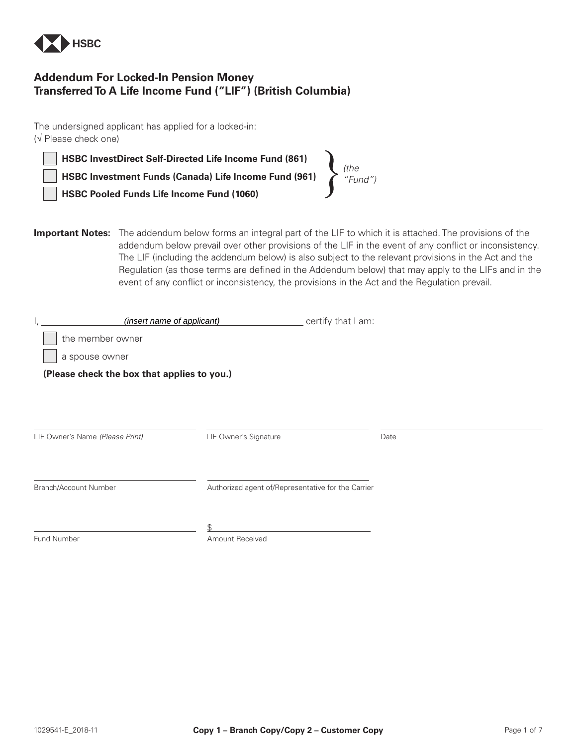

# **Addendum For Locked-In Pension Money Transferred To A Life Income Fund ("LIF") (British Columbia)**

The undersigned applicant has applied for a locked-in: (√ Please check one)

**HSBC InvestDirect Self-Directed Life Income Fund (861)**

**HSBC Investment Funds (Canada) Life Income Fund (961)**

**HSBC Pooled Funds Life Income Fund (1060)** 

**Important Notes:** The addendum below forms an integral part of the LIF to which it is attached. The provisions of the addendum below prevail over other provisions of the LIF in the event of any conflict or inconsistency. The LIF (including the addendum below) is also subject to the relevant provisions in the Act and the Regulation (as those terms are defined in the Addendum below) that may apply to the LIFs and in the event of any conflict or inconsistency, the provisions in the Act and the Regulation prevail.

*(the "Fund")*

|                                             | (insert name of applicant)      |                                                    | certify that I am: |      |
|---------------------------------------------|---------------------------------|----------------------------------------------------|--------------------|------|
| the member owner                            |                                 |                                                    |                    |      |
|                                             | a spouse owner                  |                                                    |                    |      |
| (Please check the box that applies to you.) |                                 |                                                    |                    |      |
|                                             |                                 |                                                    |                    |      |
|                                             |                                 |                                                    |                    |      |
|                                             | LIF Owner's Name (Please Print) | LIF Owner's Signature                              |                    | Date |
|                                             | Branch/Account Number           | Authorized agent of/Representative for the Carrier |                    |      |
|                                             |                                 | \$                                                 |                    |      |

Fund Number **Amount Received**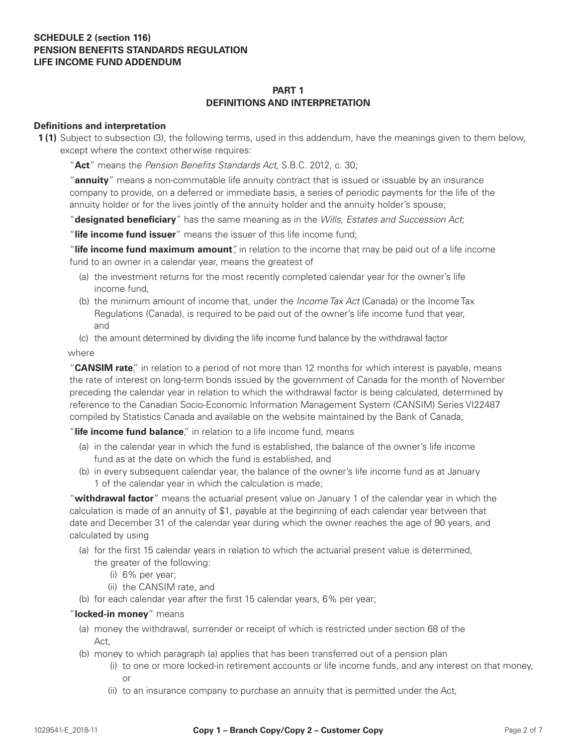## **SCHEDULE 2 (section 116) PENSION BENEFITS STANDARDS REGULATION LIFE INCOME FUND ADDENDUM**

## **PART 1 DEFINITIONS AND INTERPRETATION**

## **Definitions and interpretation**

**1 (1)** Subject to subsection (3), the following terms, used in this addendum, have the meanings given to them below, except where the context otherwise requires:

"**Act**" means the *Pension Benefits Standards Act*, S.B.C. 2012, c. 30;

"**annuity**" means a non-commutable life annuity contract that is issued or issuable by an insurance company to provide, on a deferred or immediate basis, a series of periodic payments for the life of the annuity holder or for the lives jointly of the annuity holder and the annuity holder's spouse;

"**designated beneficiary**" has the same meaning as in the *Wills, Estates and Succession Act*;

"**life income fund issuer**" means the issuer of this life income fund;

"**life income fund maximum amount**", in relation to the income that may be paid out of a life income fund to an owner in a calendar year, means the greatest of

- (a) the investment returns for the most recently completed calendar year for the owner's life income fund,
- (b) the minimum amount of income that, under the *Income Tax Act* (Canada) or the Income Tax Regulations (Canada), is required to be paid out of the owner's life income fund that year, and
- (c) the amount determined by dividing the life income fund balance by the withdrawal factor

where

"**CANSIM rate**," in relation to a period of not more than 12 months for which interest is payable, means the rate of interest on long-term bonds issued by the government of Canada for the month of November preceding the calendar year in relation to which the withdrawal factor is being calculated, determined by reference to the Canadian Socio-Economic Information Management System (CANSIM) Series VI22487 compiled by Statistics Canada and available on the website maintained by the Bank of Canada;

"**life income fund balance**," in relation to a life income fund, means

- (a) in the calendar year in which the fund is established, the balance of the owner's life income fund as at the date on which the fund is established, and
- (b) in every subsequent calendar year, the balance of the owner's life income fund as at January 1 of the calendar year in which the calculation is made;

"**withdrawal factor**" means the actuarial present value on January 1 of the calendar year in which the calculation is made of an annuity of \$1, payable at the beginning of each calendar year between that date and December 31 of the calendar year during which the owner reaches the age of 90 years, and calculated by using

- (a) for the first 15 calendar years in relation to which the actuarial present value is determined, the greater of the following:
	- (i) 6% per year;
	- (ii) the CANSIM rate, and
- (b) for each calendar year after the first 15 calendar years, 6% per year;

#### "**locked-in money**" means

- (a) money the withdrawal, surrender or receipt of which is restricted under section 68 of the Act,
- (b) money to which paragraph (a) applies that has been transferred out of a pension plan
	- (i) to one or more locked-in retirement accounts or life income funds, and any interest on that money,  $\alpha$ r
	- (ii) to an insurance company to purchase an annuity that is permitted under the Act,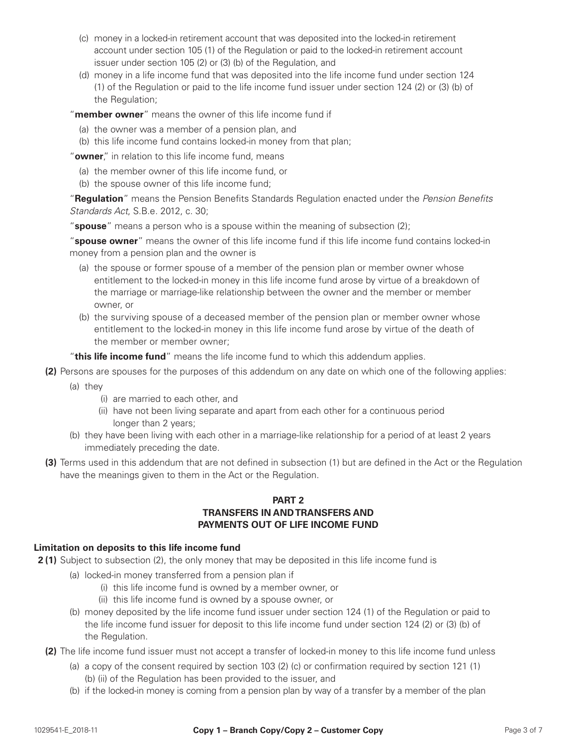- (c) money in a locked-in retirement account that was deposited into the locked-in retirement account under section 105 (1) of the Regulation or paid to the locked-in retirement account issuer under section 105 (2) or (3) (b) of the Regulation, and
- (d) money in a life income fund that was deposited into the life income fund under section 124 (1) of the Regulation or paid to the life income fund issuer under section 124 (2) or (3) (b) of the Regulation;

"**member owner**" means the owner of this life income fund if

- (a) the owner was a member of a pension plan, and
- (b) this life income fund contains locked-in money from that plan;

"**owner**," in relation to this life income fund, means

- (a) the member owner of this life income fund, or
- (b) the spouse owner of this life income fund;

"**Regulation**" means the Pension Benefits Standards Regulation enacted under the *Pension Benefits Standards Act*, S.B.e. 2012, c. 30;

"**spouse**" means a person who is a spouse within the meaning of subsection (2);

"**spouse owner**" means the owner of this life income fund if this life income fund contains locked-in money from a pension plan and the owner is

- (a) the spouse or former spouse of a member of the pension plan or member owner whose entitlement to the locked-in money in this life income fund arose by virtue of a breakdown of the marriage or marriage-like relationship between the owner and the member or member owner, or
- (b) the surviving spouse of a deceased member of the pension plan or member owner whose entitlement to the locked-in money in this life income fund arose by virtue of the death of the member or member owner;

"**this life income fund**" means the life income fund to which this addendum applies.

- **(2)** Persons are spouses for the purposes of this addendum on any date on which one of the following applies:
	- (a) they
		- (i) are married to each other, and
		- (ii) have not been living separate and apart from each other for a continuous period longer than 2 years;
	- (b) they have been living with each other in a marriage-like relationship for a period of at least 2 years immediately preceding the date.
- **(3)** Terms used in this addendum that are not defined in subsection (1) but are defined in the Act or the Regulation have the meanings given to them in the Act or the Regulation.

## **PART 2 TRANSFERS IN AND TRANSFERS AND PAYMENTS OUT OF LIFE INCOME FUND**

## **Limitation on deposits to this life income fund**

**2 (1)** Subject to subsection (2), the only money that may be deposited in this life income fund is

- (a) locked-in money transferred from a pension plan if
	- (i) this life income fund is owned by a member owner, or
		- (ii) this life income fund is owned by a spouse owner, or
- (b) money deposited by the life income fund issuer under section 124 (1) of the Regulation or paid to the life income fund issuer for deposit to this life income fund under section 124 (2) or (3) (b) of the Regulation.

 **(2)** The life income fund issuer must not accept a transfer of locked-in money to this life income fund unless

- (a) a copy of the consent required by section 103 (2) (c) or confirmation required by section 121 (1) (b) (ii) of the Regulation has been provided to the issuer, and
- (b) if the locked-in money is coming from a pension plan by way of a transfer by a member of the plan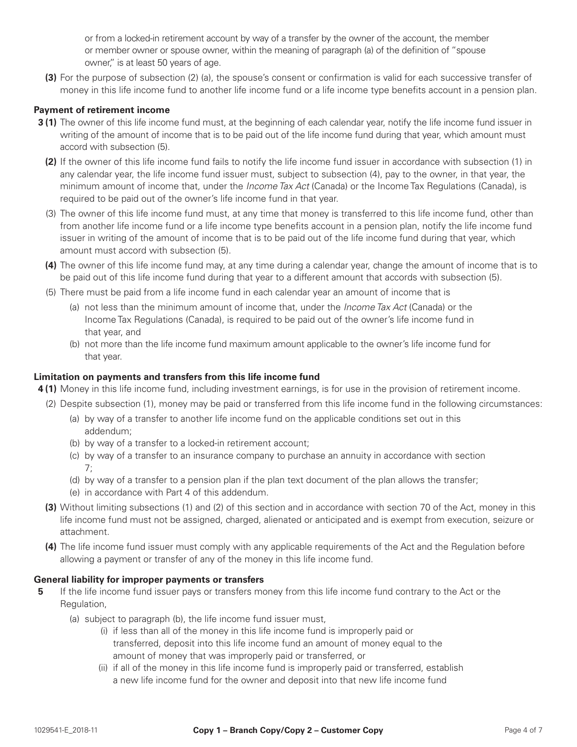or from a locked-in retirement account by way of a transfer by the owner of the account, the member or member owner or spouse owner, within the meaning of paragraph (a) of the definition of "spouse owner," is at least 50 years of age.

 **(3)** For the purpose of subsection (2) (a), the spouse's consent or confirmation is valid for each successive transfer of money in this life income fund to another life income fund or a life income type benefits account in a pension plan.

## **Payment of retirement income**

- **3 (1)** The owner of this life income fund must, at the beginning of each calendar year, notify the life income fund issuer in writing of the amount of income that is to be paid out of the life income fund during that year, which amount must accord with subsection (5).
	- **(2)** If the owner of this life income fund fails to notify the life income fund issuer in accordance with subsection (1) in any calendar year, the life income fund issuer must, subject to subsection (4), pay to the owner, in that year, the minimum amount of income that, under the *Income Tax Act* (Canada) or the Income Tax Regulations (Canada), is required to be paid out of the owner's life income fund in that year.
	- (3) The owner of this life income fund must, at any time that money is transferred to this life income fund, other than from another life income fund or a life income type benefits account in a pension plan, notify the life income fund issuer in writing of the amount of income that is to be paid out of the life income fund during that year, which amount must accord with subsection (5).
	- **(4)** The owner of this life income fund may, at any time during a calendar year, change the amount of income that is to be paid out of this life income fund during that year to a different amount that accords with subsection (5).
	- (5) There must be paid from a life income fund in each calendar year an amount of income that is
		- (a) not less than the minimum amount of income that, under the *Income Tax Act* (Canada) or the Income Tax Regulations (Canada), is required to be paid out of the owner's life income fund in that year, and
		- (b) not more than the life income fund maximum amount applicable to the owner's life income fund for that year.

#### **Limitation on payments and transfers from this life income fund**

- **4 (1)** Money in this life income fund, including investment earnings, is for use in the provision of retirement income.
	- (2) Despite subsection (1), money may be paid or transferred from this life income fund in the following circumstances:
		- (a) by way of a transfer to another life income fund on the applicable conditions set out in this addendum;
		- (b) by way of a transfer to a locked-in retirement account;
		- (c) by way of a transfer to an insurance company to purchase an annuity in accordance with section 7;
		- (d) by way of a transfer to a pension plan if the plan text document of the plan allows the transfer;
		- (e) in accordance with Part 4 of this addendum.
	- **(3)** Without limiting subsections (1) and (2) of this section and in accordance with section 70 of the Act, money in this life income fund must not be assigned, charged, alienated or anticipated and is exempt from execution, seizure or attachment.
	- **(4)** The life income fund issuer must comply with any applicable requirements of the Act and the Regulation before allowing a payment or transfer of any of the money in this life income fund.

#### **General liability for improper payments or transfers**

- **5** If the life income fund issuer pays or transfers money from this life income fund contrary to the Act or the Regulation,
	- (a) subject to paragraph (b), the life income fund issuer must,
		- (i) if less than all of the money in this life income fund is improperly paid or transferred, deposit into this life income fund an amount of money equal to the amount of money that was improperly paid or transferred, or
		- (ii) if all of the money in this life income fund is improperly paid or transferred, establish a new life income fund for the owner and deposit into that new life income fund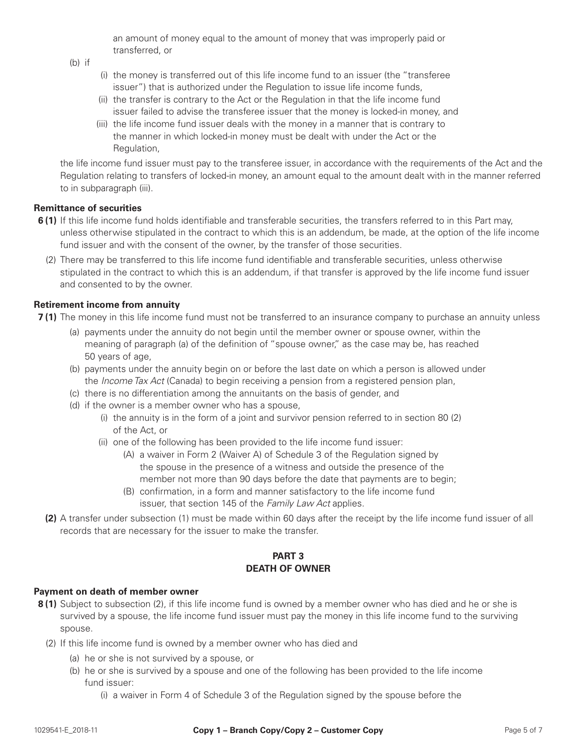an amount of money equal to the amount of money that was improperly paid or transferred, or

(b) if

- (i) the money is transferred out of this life income fund to an issuer (the "transferee issuer") that is authorized under the Regulation to issue life income funds,
- (ii) the transfer is contrary to the Act or the Regulation in that the life income fund issuer failed to advise the transferee issuer that the money is locked-in money, and
- (iii) the life income fund issuer deals with the money in a manner that is contrary to the manner in which locked-in money must be dealt with under the Act or the Regulation,

the life income fund issuer must pay to the transferee issuer, in accordance with the requirements of the Act and the Regulation relating to transfers of locked-in money, an amount equal to the amount dealt with in the manner referred to in subparagraph (iii).

## **Remittance of securities**

- **6 (1)** If this life income fund holds identifiable and transferable securities, the transfers referred to in this Part may, unless otherwise stipulated in the contract to which this is an addendum, be made, at the option of the life income fund issuer and with the consent of the owner, by the transfer of those securities.
	- (2) There may be transferred to this life income fund identifiable and transferable securities, unless otherwise stipulated in the contract to which this is an addendum, if that transfer is approved by the life income fund issuer and consented to by the owner.

## **Retirement income from annuity**

**7 (1)** The money in this life income fund must not be transferred to an insurance company to purchase an annuity unless

- (a) payments under the annuity do not begin until the member owner or spouse owner, within the meaning of paragraph (a) of the definition of "spouse owner," as the case may be, has reached 50 years of age,
- (b) payments under the annuity begin on or before the last date on which a person is allowed under the *Income Tax Act* (Canada) to begin receiving a pension from a registered pension plan,
- (c) there is no differentiation among the annuitants on the basis of gender, and
- (d) if the owner is a member owner who has a spouse,
	- (i) the annuity is in the form of a joint and survivor pension referred to in section 80 (2) of the Act, or
	- (ii) one of the following has been provided to the life income fund issuer:
		- (A) a waiver in Form 2 (Waiver A) of Schedule 3 of the Regulation signed by the spouse in the presence of a witness and outside the presence of the member not more than 90 days before the date that payments are to begin;
		- (B) confirmation, in a form and manner satisfactory to the life income fund issuer, that section 145 of the *Family Law Act* applies.
- **(2)** A transfer under subsection (1) must be made within 60 days after the receipt by the life income fund issuer of all records that are necessary for the issuer to make the transfer.

# **PART 3 DEATH OF OWNER**

## **Payment on death of member owner**

- **8 (1)** Subject to subsection (2), if this life income fund is owned by a member owner who has died and he or she is survived by a spouse, the life income fund issuer must pay the money in this life income fund to the surviving spouse.
	- (2) If this life income fund is owned by a member owner who has died and
		- (a) he or she is not survived by a spouse, or
		- (b) he or she is survived by a spouse and one of the following has been provided to the life income fund issuer:
			- (i) a waiver in Form 4 of Schedule 3 of the Regulation signed by the spouse before the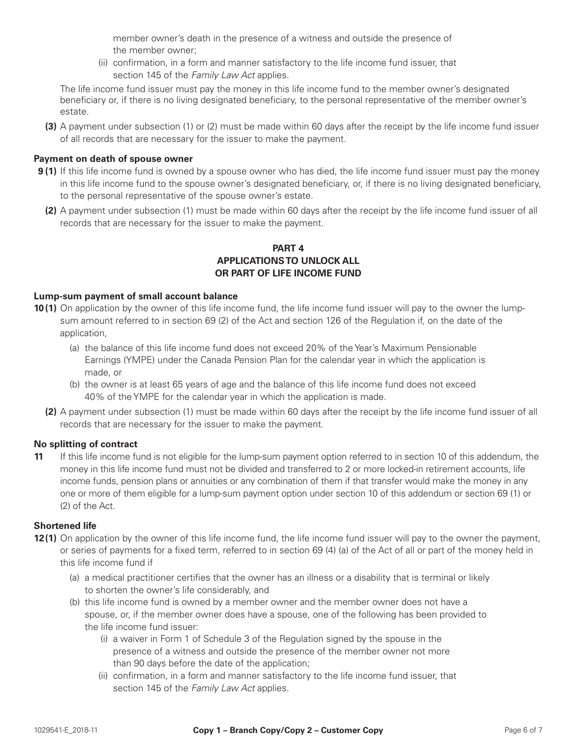member owner's death in the presence of a witness and outside the presence of the member owner;

(ii) confirmation, in a form and manner satisfactory to the life income fund issuer, that section 145 of the *Family Law Act* applies.

The life income fund issuer must pay the money in this life income fund to the member owner's designated beneficiary or, if there is no living designated beneficiary, to the personal representative of the member owner's estate.

 **(3)** A payment under subsection (1) or (2) must be made within 60 days after the receipt by the life income fund issuer of all records that are necessary for the issuer to make the payment.

## **Payment on death of spouse owner**

- **9 (1)** If this life income fund is owned by a spouse owner who has died, the life income fund issuer must pay the money in this life income fund to the spouse owner's designated beneficiary, or, if there is no living designated beneficiary, to the personal representative of the spouse owner's estate.
	- **(2)** A payment under subsection (1) must be made within 60 days after the receipt by the life income fund issuer of all records that are necessary for the issuer to make the payment.

## **PART 4 APPLICATIONS TO UNLOCK ALL OR PART OF LIFE INCOME FUND**

#### **Lump-sum payment of small account balance**

- **10(1)** On application by the owner of this life income fund, the life income fund issuer will pay to the owner the lumpsum amount referred to in section 69 (2) of the Act and section 126 of the Regulation if, on the date of the application,
	- (a) the balance of this life income fund does not exceed 20% of the Year's Maximum Pensionable Earnings (YMPE) under the Canada Pension Plan for the calendar year in which the application is made, or
	- (b) the owner is at least 65 years of age and the balance of this life income fund does not exceed 40% of the YMPE for the calendar year in which the application is made.
	- **(2)** A payment under subsection (1) must be made within 60 days after the receipt by the life income fund issuer of all records that are necessary for the issuer to make the payment.

#### **No splitting of contract**

**11** If this life income fund is not eligible for the lump-sum payment option referred to in section 10 of this addendum, the money in this life income fund must not be divided and transferred to 2 or more locked-in retirement accounts, life income funds, pension plans or annuities or any combination of them if that transfer would make the money in any one or more of them eligible for a lump-sum payment option under section 10 of this addendum or section 69 (1) or (2) of the Act.

#### **Shortened life**

- **12(1)** On application by the owner of this life income fund, the life income fund issuer will pay to the owner the payment, or series of payments for a fixed term, referred to in section 69 (4) (a) of the Act of all or part of the money held in this life income fund if
	- (a) a medical practitioner certifies that the owner has an illness or a disability that is terminal or likely to shorten the owner's life considerably, and
	- (b) this life income fund is owned by a member owner and the member owner does not have a spouse, or, if the member owner does have a spouse, one of the following has been provided to the life income fund issuer:
		- (i) a waiver in Form 1 of Schedule 3 of the Regulation signed by the spouse in the presence of a witness and outside the presence of the member owner not more than 90 days before the date of the application;
		- (ii) confirmation, in a form and manner satisfactory to the life income fund issuer, that section 145 of the *Family Law Act* applies.